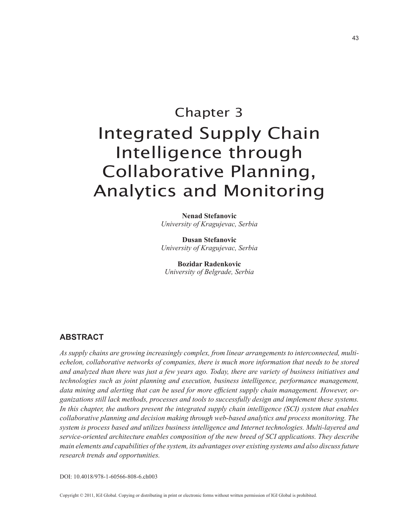# Chapter 3 Integrated Supply Chain Intelligence through Collaborative Planning, Analytics and Monitoring

**Nenad Stefanovic** *University of Kragujevac, Serbia*

**Dusan Stefanovic** *University of Kragujevac, Serbia*

**Bozidar Radenkovic** *University of Belgrade, Serbia*

## **aBStract**

*As supply chains are growing increasingly complex, from linear arrangements to interconnected, multiechelon, collaborative networks of companies, there is much more information that needs to be stored and analyzed than there was just a few years ago. Today, there are variety of business initiatives and technologies such as joint planning and execution, business intelligence, performance management, data mining and alerting that can be used for more efficient supply chain management. However, organizations still lack methods, processes and tools to successfully design and implement these systems. In this chapter, the authors present the integrated supply chain intelligence (SCI) system that enables collaborative planning and decision making through web-based analytics and process monitoring. The system is process based and utilizes business intelligence and Internet technologies. Multi-layered and service-oriented architecture enables composition of the new breed of SCI applications. They describe main elements and capabilities of the system, its advantages over existing systems and also discuss future research trends and opportunities.*

DOI: 10.4018/978-1-60566-808-6.ch003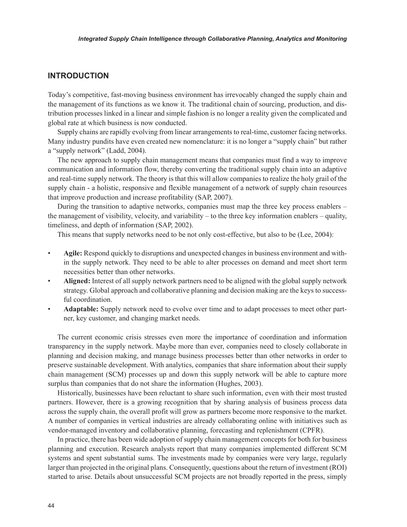## **introduction**

Today's competitive, fast-moving business environment has irrevocably changed the supply chain and the management of its functions as we know it. The traditional chain of sourcing, production, and distribution processes linked in a linear and simple fashion is no longer a reality given the complicated and global rate at which business is now conducted.

Supply chains are rapidly evolving from linear arrangements to real-time, customer facing networks. Many industry pundits have even created new nomenclature: it is no longer a "supply chain" but rather a "supply network" (Ladd, 2004).

The new approach to supply chain management means that companies must find a way to improve communication and information flow, thereby converting the traditional supply chain into an adaptive and real-time supply network. The theory is that this will allow companies to realize the holy grail of the supply chain - a holistic, responsive and flexible management of a network of supply chain resources that improve production and increase profitability (SAP, 2007).

During the transition to adaptive networks, companies must map the three key process enablers – the management of visibility, velocity, and variability – to the three key information enablers – quality, timeliness, and depth of information (SAP, 2002).

This means that supply networks need to be not only cost-effective, but also to be (Lee, 2004):

- **Agile:** Respond quickly to disruptions and unexpected changes in business environment and within the supply network. They need to be able to alter processes on demand and meet short term necessities better than other networks.
- **Aligned:** Interest of all supply network partners need to be aligned with the global supply network strategy. Global approach and collaborative planning and decision making are the keys to successful coordination.
- **Adaptable:** Supply network need to evolve over time and to adapt processes to meet other partner, key customer, and changing market needs.

The current economic crisis stresses even more the importance of coordination and information transparency in the supply network. Maybe more than ever, companies need to closely collaborate in planning and decision making, and manage business processes better than other networks in order to preserve sustainable development. With analytics, companies that share information about their supply chain management (SCM) processes up and down this supply network will be able to capture more surplus than companies that do not share the information (Hughes, 2003).

Historically, businesses have been reluctant to share such information, even with their most trusted partners. However, there is a growing recognition that by sharing analysis of business process data across the supply chain, the overall profit will grow as partners become more responsive to the market. A number of companies in vertical industries are already collaborating online with initiatives such as vendor-managed inventory and collaborative planning, forecasting and replenishment (CPFR).

In practice, there has been wide adoption of supply chain management concepts for both for business planning and execution. Research analysts report that many companies implemented different SCM systems and spent substantial sums. The investments made by companies were very large, regularly larger than projected in the original plans. Consequently, questions about the return of investment (ROI) started to arise. Details about unsuccessful SCM projects are not broadly reported in the press, simply